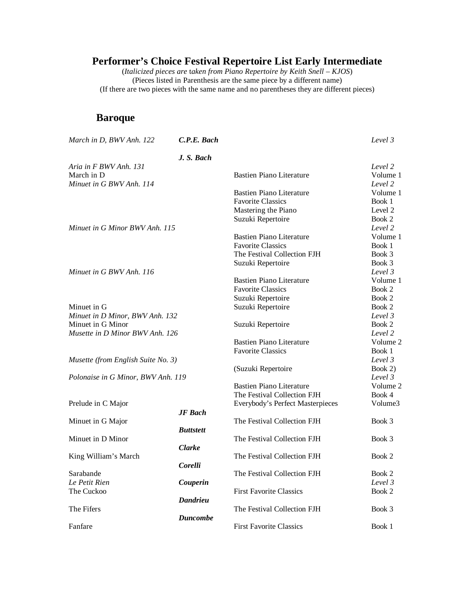(*Italicized pieces are* t*aken from Piano Repertoire by Keith Snell – KJOS*) (Pieces listed in Parenthesis are the same piece by a different name) (If there are two pieces with the same name and no parentheses they are different pieces)

#### **Baroque**

| March in D, BWV Anh. 122           | C.P.E. Bach      |                                  | Level 3  |
|------------------------------------|------------------|----------------------------------|----------|
|                                    | J. S. Bach       |                                  |          |
| Aria in F BWV Anh. 131             |                  |                                  | Level 2  |
| March in D                         |                  | <b>Bastien Piano Literature</b>  | Volume 1 |
| Minuet in G BWV Anh. 114           |                  |                                  | Level 2  |
|                                    |                  | <b>Bastien Piano Literature</b>  | Volume 1 |
|                                    |                  | <b>Favorite Classics</b>         | Book 1   |
|                                    |                  | Mastering the Piano              | Level 2  |
|                                    |                  | Suzuki Repertoire                | Book 2   |
| Minuet in G Minor BWV Anh. 115     |                  |                                  | Level 2  |
|                                    |                  | <b>Bastien Piano Literature</b>  | Volume 1 |
|                                    |                  | <b>Favorite Classics</b>         | Book 1   |
|                                    |                  | The Festival Collection FJH      | Book 3   |
|                                    |                  | Suzuki Repertoire                | Book 3   |
| Minuet in G BWV Anh. 116           |                  |                                  | Level 3  |
|                                    |                  | <b>Bastien Piano Literature</b>  | Volume 1 |
|                                    |                  | <b>Favorite Classics</b>         | Book 2   |
|                                    |                  |                                  |          |
|                                    |                  | Suzuki Repertoire                | Book 2   |
| Minuet in G                        |                  | Suzuki Repertoire                | Book 2   |
| Minuet in D Minor, BWV Anh. 132    |                  |                                  | Level 3  |
| Minuet in G Minor                  |                  | Suzuki Repertoire                | Book 2   |
| Musette in D Minor BWV Anh. 126    |                  |                                  | Level 2  |
|                                    |                  | <b>Bastien Piano Literature</b>  | Volume 2 |
|                                    |                  | <b>Favorite Classics</b>         | Book 1   |
| Musette (from English Suite No. 3) |                  |                                  | Level 3  |
|                                    |                  | (Suzuki Repertoire               | Book 2)  |
| Polonaise in G Minor, BWV Anh. 119 |                  |                                  | Level 3  |
|                                    |                  | <b>Bastien Piano Literature</b>  | Volume 2 |
|                                    |                  | The Festival Collection FJH      | Book 4   |
| Prelude in C Major                 |                  | Everybody's Perfect Masterpieces | Volume3  |
|                                    | <b>JF</b> Bach   |                                  |          |
| Minuet in G Major                  |                  | The Festival Collection FJH      | Book 3   |
|                                    | <b>Buttstett</b> |                                  |          |
| Minuet in D Minor                  |                  | The Festival Collection FJH      | Book 3   |
|                                    | <b>Clarke</b>    |                                  |          |
| King William's March               |                  | The Festival Collection FJH      | Book 2   |
|                                    | Corelli          |                                  |          |
| Sarabande                          |                  | The Festival Collection FJH      | Book 2   |
| Le Petit Rien                      | Couperin         |                                  | Level 3  |
| The Cuckoo                         |                  | <b>First Favorite Classics</b>   | Book 2   |
|                                    | <b>Dandrieu</b>  |                                  |          |
| The Fifers                         |                  | The Festival Collection FJH      | Book 3   |
|                                    | <b>Duncombe</b>  |                                  |          |
| Fanfare                            |                  | <b>First Favorite Classics</b>   | Book 1   |
|                                    |                  |                                  |          |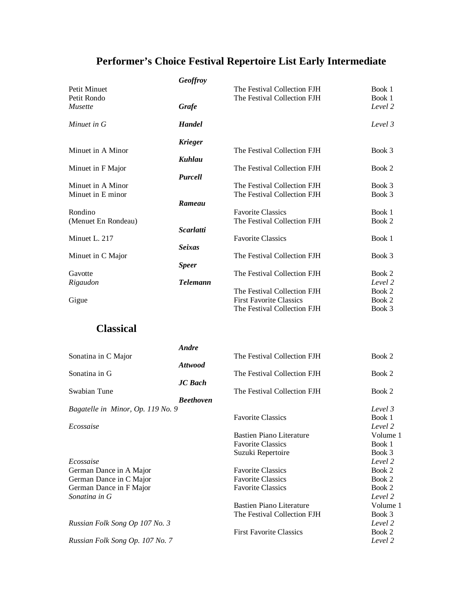|                     | Geoffroy         |                                |         |
|---------------------|------------------|--------------------------------|---------|
| Petit Minuet        |                  | The Festival Collection FJH    | Book 1  |
| Petit Rondo         |                  | The Festival Collection FJH    | Book 1  |
| <i>Musette</i>      | Grafe            |                                | Level 2 |
| Minuet in G         | <b>Handel</b>    |                                | Level 3 |
|                     | <b>Krieger</b>   |                                |         |
| Minuet in A Minor   |                  | The Festival Collection FJH    | Book 3  |
|                     | Kuhlau           |                                |         |
| Minuet in F Major   |                  | The Festival Collection FJH    | Book 2  |
|                     | <b>Purcell</b>   |                                |         |
| Minuet in A Minor   |                  | The Festival Collection FJH    | Book 3  |
| Minuet in E minor   |                  | The Festival Collection FJH    | Book 3  |
|                     | Rameau           |                                |         |
| Rondino             |                  | <b>Favorite Classics</b>       | Book 1  |
| (Menuet En Rondeau) |                  | The Festival Collection FJH    | Book 2  |
|                     | <b>Scarlatti</b> |                                |         |
| Minuet L. 217       |                  | <b>Favorite Classics</b>       | Book 1  |
|                     | <b>Seixas</b>    |                                |         |
| Minuet in C Major   |                  | The Festival Collection FJH    | Book 3  |
|                     | <b>Speer</b>     |                                |         |
| Gavotte             |                  | The Festival Collection FJH    | Book 2  |
| Rigaudon            | <b>Telemann</b>  |                                | Level 2 |
|                     |                  | The Festival Collection FJH    | Book 2  |
| Gigue               |                  | <b>First Favorite Classics</b> | Book 2  |
|                     |                  | The Festival Collection FJH    | Book 3  |

#### **Classical**

|                                   | Andre            |                                 |          |
|-----------------------------------|------------------|---------------------------------|----------|
| Sonatina in C Major               |                  | The Festival Collection FJH     | Book 2   |
|                                   | <b>Attwood</b>   |                                 |          |
| Sonatina in G                     |                  | The Festival Collection FJH     | Book 2   |
|                                   | <b>JC</b> Bach   |                                 |          |
| Swabian Tune                      |                  | The Festival Collection FJH     | Book 2   |
|                                   | <b>Beethoven</b> |                                 |          |
| Bagatelle in Minor, Op. 119 No. 9 |                  |                                 | Level 3  |
|                                   |                  | <b>Favorite Classics</b>        | Book 1   |
| Ecossaise                         |                  |                                 | Level 2  |
|                                   |                  | <b>Bastien Piano Literature</b> | Volume 1 |
|                                   |                  | <b>Favorite Classics</b>        | Book 1   |
|                                   |                  | Suzuki Repertoire               | Book 3   |
| Ecossaise                         |                  |                                 | Level 2  |
| German Dance in A Major           |                  | <b>Favorite Classics</b>        | Book 2   |
| German Dance in C Major           |                  | <b>Favorite Classics</b>        | Book 2   |
| German Dance in F Major           |                  | <b>Favorite Classics</b>        | Book 2   |
| Sonatina in G                     |                  |                                 | Level 2  |
|                                   |                  | <b>Bastien Piano Literature</b> | Volume 1 |
|                                   |                  | The Festival Collection FJH     | Book 3   |
| Russian Folk Song Op 107 No. 3    |                  |                                 | Level 2  |
|                                   |                  | <b>First Favorite Classics</b>  | Book 2   |
| Russian Folk Song Op. 107 No. 7   |                  |                                 | Level 2  |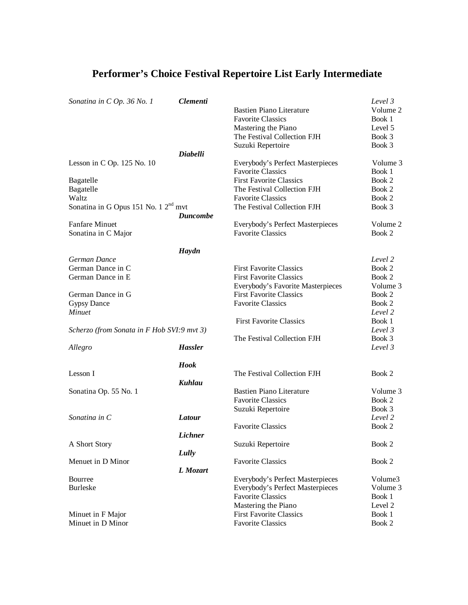#### *Sonatina in C Op. 36 No. 1 Clementi Level 3* Bastien Piano Literature Favorite Classics Book 1 Mastering the Piano Level 5 The Festival Collection FJH Book 3 Suzuki Repertoire Book 3 *Diabelli* Lesson in C Op. 125 No. 10 Everybody's Perfect Masterpieces Volume 3 Favorite Classics Book 1<br>First Favorite Classics Book 2 Bagatelle First Favorite Classics Bagatelle **The Festival Collection FJH** Book 2 Waltz Favorite Classics Book 2<br>Sonatina in G Opus 151 No. 1 2<sup>nd</sup> myt The Festival Collection FJH Book 3 Sonatina in G Opus 151 No.  $12<sup>nd</sup>$  mvt *Duncombe* Fanfare Minuet Everybody's Perfect Masterpieces Volume 2 Sonatina in C Major Favorite Classics Book 2 *Haydn German Dance Level 2* German Dance in C<br>
German Dance in E<br>
First Favorite Classics<br>
First Favorite Classics<br>
Book 2 First Favorite Classics Book 2<br>Everybody's Favorite Masterpieces Volume 3 Everybody's Favorite Masterpieces German Dance in G First Favorite Classics Book 2 Gypsy Dance Book 2<br>
Havorite Classics Book 2<br>
Havorite Classics Book 2<br>
Level 2 *Minuet Level 2* First Favorite Classics Book 1 *Scherzo (from Sonata in F Hob SVI:9 mvt 3) Level 3* The Festival Collection FJH Book 3 *Allegro Hassler Level 3 Hook* Lesson I and Collection The Festival Collection FJH Book 2 *Kuhlau* Sonatina Op. 55 No. 1 **Bastien Piano Literature** Volume 3 Favorite Classics Book 2 Suzuki Repertoire Book 3 *Sonatina in C Latour Level 2* Favorite Classics Book 2 *Lichner* A Short Story **Suzuki Repertoire** Book 2 *Lully* Menuet in D Minor **Favorite Classics** Book 2 *L Mozart* Bourree Everybody's Perfect Masterpieces Volume3 Burleske Everybody's Perfect Masterpieces Volume 3<br>
Favorite Classics Book 1 Favorite Classics Mastering the Piano Level 2 Minuet in F Major<br>
Minuet in D Minor<br>
Favorite Classics
Favorite Classics
Book 2 Minuet in D Minor **Favorite Classics** Book 2

#### **Performer's Choice Festival Repertoire List Early Intermediate**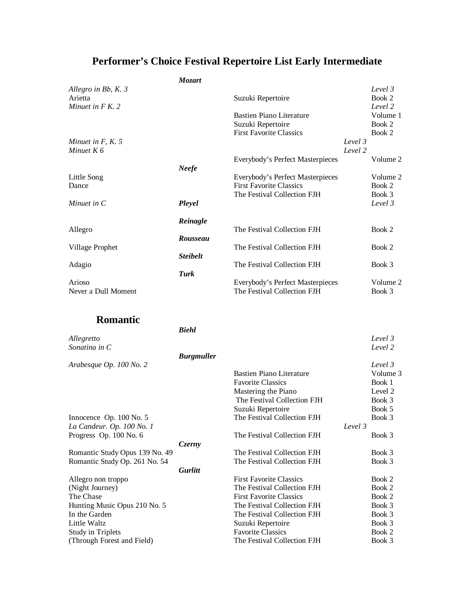|                                | Mozart            |                                  |         |          |
|--------------------------------|-------------------|----------------------------------|---------|----------|
| Allegro in Bb, K. 3            |                   |                                  |         | Level 3  |
| Arietta                        |                   | Suzuki Repertoire                |         | Book 2   |
| Minuet in $F K$ . 2            |                   |                                  |         | Level 2  |
|                                |                   | <b>Bastien Piano Literature</b>  |         | Volume 1 |
|                                |                   | Suzuki Repertoire                |         | Book 2   |
|                                |                   | <b>First Favorite Classics</b>   |         | Book 2   |
| Minuet in $F$ , $K$ . 5        |                   |                                  | Level 3 |          |
| Minuet $K$ 6                   |                   |                                  | Level 2 |          |
|                                |                   | Everybody's Perfect Masterpieces |         | Volume 2 |
|                                | <b>Neefe</b>      |                                  |         |          |
|                                |                   | Everybody's Perfect Masterpieces |         | Volume 2 |
| Little Song                    |                   | <b>First Favorite Classics</b>   |         | Book 2   |
| Dance                          |                   | The Festival Collection FJH      |         |          |
|                                |                   |                                  |         | Book 3   |
| Minuet in C                    | Pleyel            |                                  |         | Level 3  |
|                                |                   |                                  |         |          |
|                                | Reinagle          | The Festival Collection FJH      |         | Book 2   |
| Allegro                        | <b>Rousseau</b>   |                                  |         |          |
|                                |                   |                                  |         | Book 2   |
| Village Prophet                |                   | The Festival Collection FJH      |         |          |
|                                | <b>Steibelt</b>   |                                  |         |          |
| Adagio                         |                   | The Festival Collection FJH      |         | Book 3   |
|                                | Turk              |                                  |         |          |
| Arioso                         |                   | Everybody's Perfect Masterpieces |         | Volume 2 |
| Never a Dull Moment            |                   | The Festival Collection FJH      |         | Book 3   |
|                                |                   |                                  |         |          |
|                                |                   |                                  |         |          |
| <b>Romantic</b>                |                   |                                  |         |          |
|                                | <b>Biehl</b>      |                                  |         |          |
| Allegretto                     |                   |                                  |         | Level 3  |
| Sonatina in C                  |                   |                                  |         | Level 2  |
|                                | <b>Burgmuller</b> |                                  |         |          |
| Arabesque Op. 100 No. 2        |                   |                                  |         | Level 3  |
|                                |                   | <b>Bastien Piano Literature</b>  |         | Volume 3 |
|                                |                   | <b>Favorite Classics</b>         |         | Book 1   |
|                                |                   | Mastering the Piano              |         | Level 2  |
|                                |                   | The Festival Collection FJH      |         | Book 3   |
|                                |                   | Suzuki Repertoire                |         | Book 5   |
| Innocence Op. 100 No. 5        |                   | The Festival Collection FJH      |         | Book 3   |
| La Candeur. Op. 100 No. 1      |                   |                                  | Level 3 |          |
| Progress Op. 100 No. 6         |                   | The Festival Collection FJH      |         | Book 3   |
|                                | Czerny            |                                  |         |          |
| Romantic Study Opus 139 No. 49 |                   | The Festival Collection FJH      |         | Book 3   |
| Romantic Study Op. 261 No. 54  |                   | The Festival Collection FJH      |         | Book 3   |
|                                | <b>Gurlitt</b>    |                                  |         |          |
| Allegro non troppo             |                   | <b>First Favorite Classics</b>   |         | Book 2   |
| (Night Journey)                |                   | The Festival Collection FJH      |         | Book 2   |
| The Chase                      |                   | <b>First Favorite Classics</b>   |         | Book 2   |
| Hunting Music Opus 210 No. 5   |                   | The Festival Collection FJH      |         | Book 3   |
| In the Garden                  |                   | The Festival Collection FJH      |         | Book 3   |
| Little Waltz                   |                   | Suzuki Repertoire                |         | Book 3   |
| <b>Study in Triplets</b>       |                   | <b>Favorite Classics</b>         |         | Book 2   |
| (Through Forest and Field)     |                   | The Festival Collection FJH      |         | Book 3   |
|                                |                   |                                  |         |          |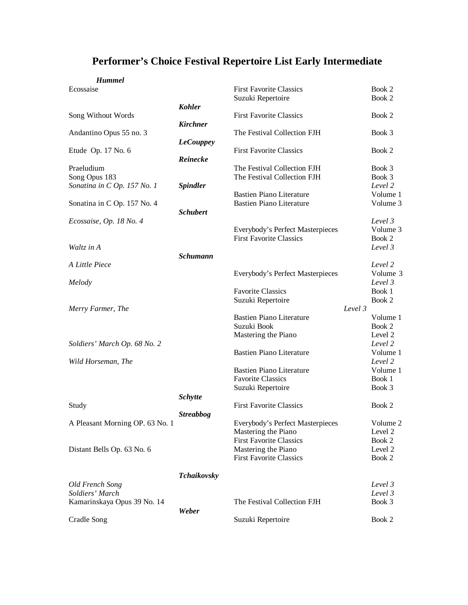#### *Hummel*

|          | питни |  |
|----------|-------|--|
|          |       |  |
| cossaise |       |  |

| Ecossaise                          |                    | <b>First Favorite Classics</b>   |         | Book 2             |
|------------------------------------|--------------------|----------------------------------|---------|--------------------|
|                                    |                    | Suzuki Repertoire                |         | Book 2             |
|                                    | <b>Kohler</b>      | <b>First Favorite Classics</b>   |         | Book 2             |
| Song Without Words                 |                    |                                  |         |                    |
| Andantino Opus 55 no. 3            | <b>Kirchner</b>    | The Festival Collection FJH      |         |                    |
|                                    |                    |                                  |         | Book 3             |
|                                    | <b>LeCouppey</b>   | <b>First Favorite Classics</b>   |         | Book 2             |
| Etude Op. 17 No. 6                 | Reinecke           |                                  |         |                    |
| Praeludium                         |                    | The Festival Collection FJH      |         | Book 3             |
| Song Opus 183                      |                    | The Festival Collection FJH      |         | Book 3             |
| Sonatina in C Op. 157 No. 1        | <b>Spindler</b>    |                                  |         | Level 2            |
|                                    |                    | <b>Bastien Piano Literature</b>  |         | Volume 1           |
| Sonatina in C Op. 157 No. 4        |                    | <b>Bastien Piano Literature</b>  |         | Volume 3           |
|                                    | <b>Schubert</b>    |                                  |         |                    |
| Ecossaise, Op. 18 No. 4            |                    |                                  |         | Level 3            |
|                                    |                    | Everybody's Perfect Masterpieces |         | Volume 3           |
|                                    |                    | <b>First Favorite Classics</b>   |         | Book 2             |
| Waltz in A                         |                    |                                  |         | Level 3            |
|                                    | <b>Schumann</b>    |                                  |         |                    |
| A Little Piece                     |                    |                                  |         | Level 2            |
|                                    |                    | Everybody's Perfect Masterpieces |         | Volume 3           |
| Melody                             |                    |                                  |         | Level 3            |
|                                    |                    | <b>Favorite Classics</b>         |         | Book 1             |
|                                    |                    | Suzuki Repertoire                |         | Book 2             |
| Merry Farmer, The                  |                    |                                  | Level 3 |                    |
|                                    |                    | <b>Bastien Piano Literature</b>  |         | Volume 1           |
|                                    |                    | Suzuki Book                      |         | Book 2             |
|                                    |                    | Mastering the Piano              |         | Level 2            |
| Soldiers' March Op. 68 No. 2       |                    |                                  |         | Level 2            |
|                                    |                    | <b>Bastien Piano Literature</b>  |         | Volume 1           |
| Wild Horseman, The                 |                    |                                  |         | Level 2            |
|                                    |                    | <b>Bastien Piano Literature</b>  |         | Volume 1           |
|                                    |                    | <b>Favorite Classics</b>         |         | Book 1             |
|                                    |                    | Suzuki Repertoire                |         | Book 3             |
|                                    | <b>Schytte</b>     |                                  |         |                    |
| Study                              |                    | <b>First Favorite Classics</b>   |         | Book 2             |
|                                    | <b>Streabbog</b>   |                                  |         |                    |
| A Pleasant Morning OP. 63 No. 1    |                    | Everybody's Perfect Masterpieces |         | Volume 2           |
|                                    |                    | Mastering the Piano              |         | Level 2            |
|                                    |                    | <b>First Favorite Classics</b>   |         | Book 2             |
| Distant Bells Op. 63 No. 6         |                    | Mastering the Piano              |         | Level 2            |
|                                    |                    | <b>First Favorite Classics</b>   |         | Book 2             |
|                                    |                    |                                  |         |                    |
|                                    | <b>Tchaikovsky</b> |                                  |         |                    |
| Old French Song<br>Soldiers' March |                    |                                  |         | Level 3<br>Level 3 |
| Kamarinskaya Opus 39 No. 14        |                    | The Festival Collection FJH      |         | Book 3             |
|                                    | Weber              |                                  |         |                    |
| Cradle Song                        |                    | Suzuki Repertoire                |         | Book 2             |
|                                    |                    |                                  |         |                    |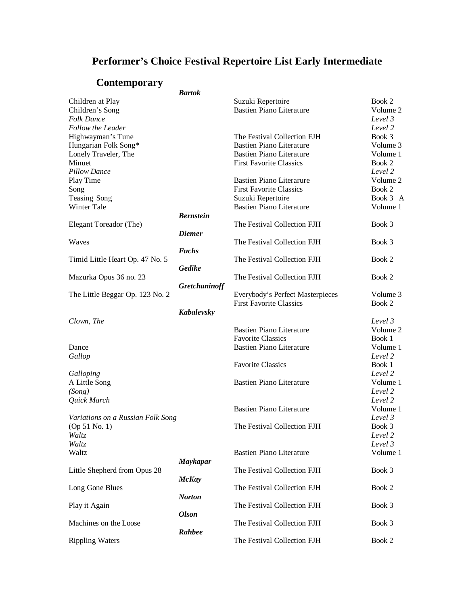### **Contemporary**

|                                   | <b>Bartok</b>    |                                  |          |
|-----------------------------------|------------------|----------------------------------|----------|
| Children at Play                  |                  | Suzuki Repertoire                | Book 2   |
| Children's Song                   |                  | <b>Bastien Piano Literature</b>  | Volume 2 |
| <b>Folk Dance</b>                 |                  |                                  | Level 3  |
| Follow the Leader                 |                  |                                  | Level 2  |
| Highwayman's Tune                 |                  | The Festival Collection FJH      | Book 3   |
| Hungarian Folk Song*              |                  | <b>Bastien Piano Literature</b>  | Volume 3 |
| Lonely Traveler, The              |                  | <b>Bastien Piano Literature</b>  | Volume 1 |
| Minuet                            |                  | <b>First Favorite Classics</b>   | Book 2   |
| <b>Pillow Dance</b>               |                  |                                  | Level 2  |
|                                   |                  |                                  | Volume 2 |
| Play Time                         |                  | <b>Bastien Piano Literarure</b>  |          |
| Song                              |                  | <b>First Favorite Classics</b>   | Book 2   |
| Teasing Song                      |                  | Suzuki Repertoire                | Book 3 A |
| Winter Tale                       |                  | <b>Bastien Piano Literature</b>  | Volume 1 |
|                                   | <b>Bernstein</b> |                                  |          |
| Elegant Toreador (The)            |                  | The Festival Collection FJH      | Book 3   |
|                                   | <b>Diemer</b>    |                                  |          |
| Waves                             |                  | The Festival Collection FJH      | Book 3   |
|                                   | <b>Fuchs</b>     |                                  |          |
| Timid Little Heart Op. 47 No. 5   |                  | The Festival Collection FJH      | Book 2   |
|                                   | Gedike           |                                  |          |
| Mazurka Opus 36 no. 23            |                  | The Festival Collection FJH      | Book 2   |
|                                   | Gretchaninoff    |                                  |          |
| The Little Beggar Op. 123 No. 2   |                  | Everybody's Perfect Masterpieces | Volume 3 |
|                                   |                  | <b>First Favorite Classics</b>   | Book 2   |
|                                   | Kabalevsky       |                                  |          |
| Clown, The                        |                  |                                  | Level 3  |
|                                   |                  | <b>Bastien Piano Literature</b>  | Volume 2 |
|                                   |                  | <b>Favorite Classics</b>         | Book 1   |
| Dance                             |                  | <b>Bastien Piano Literature</b>  | Volume 1 |
|                                   |                  |                                  | Level 2  |
| Gallop                            |                  |                                  |          |
|                                   |                  | <b>Favorite Classics</b>         | Book 1   |
| Galloping                         |                  |                                  | Level 2  |
| A Little Song                     |                  | <b>Bastien Piano Literature</b>  | Volume 1 |
| (Song)                            |                  |                                  | Level 2  |
| Quick March                       |                  |                                  | Level 2  |
|                                   |                  | <b>Bastien Piano Literature</b>  | Volume 1 |
| Variations on a Russian Folk Song |                  |                                  | Level 3  |
| (Op 51 No. 1)                     |                  | The Festival Collection FJH      | Book 3   |
| Waltz                             |                  |                                  | Level 2  |
| Waltz                             |                  |                                  | Level 3  |
| Waltz                             |                  | <b>Bastien Piano Literature</b>  | Volume 1 |
|                                   | <b>Maykapar</b>  |                                  |          |
| Little Shepherd from Opus 28      |                  | The Festival Collection FJH      | Book 3   |
|                                   | <b>McKay</b>     |                                  |          |
| Long Gone Blues                   |                  | The Festival Collection FJH      | Book 2   |
|                                   | <b>Norton</b>    |                                  |          |
| Play it Again                     |                  | The Festival Collection FJH      | Book 3   |
|                                   | <b>Olson</b>     |                                  |          |
| Machines on the Loose             |                  | The Festival Collection FJH      | Book 3   |
|                                   | Rahbee           |                                  |          |
| <b>Rippling Waters</b>            |                  | The Festival Collection FJH      | Book 2   |
|                                   |                  |                                  |          |